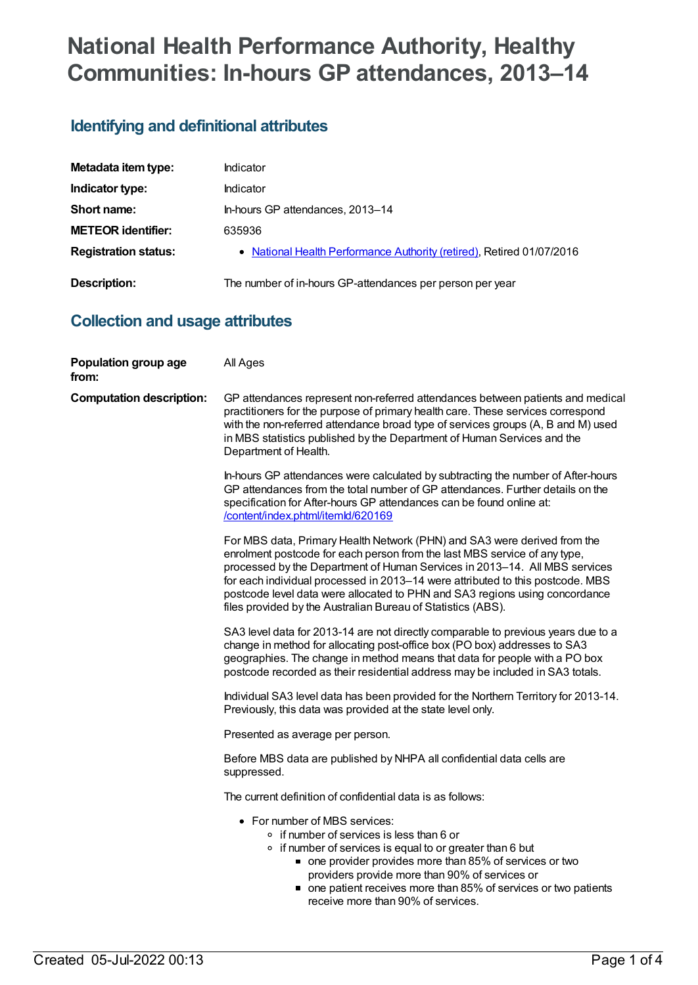# **National Health Performance Authority, Healthy Communities: In-hours GP attendances, 2013–14**

# **Identifying and definitional attributes**

| Metadata item type:         | Indicator                                                             |
|-----------------------------|-----------------------------------------------------------------------|
| Indicator type:             | Indicator                                                             |
| Short name:                 | In-hours GP attendances, 2013-14                                      |
| <b>METEOR identifier:</b>   | 635936                                                                |
| <b>Registration status:</b> | • National Health Performance Authority (retired), Retired 01/07/2016 |
| <b>Description:</b>         | The number of in-hours GP-attendances per person per year             |

### **Collection and usage attributes**

| Population group age<br>from:   | All Ages                                                                                                                                                                                                                                                                                                                                                                                                                                                             |
|---------------------------------|----------------------------------------------------------------------------------------------------------------------------------------------------------------------------------------------------------------------------------------------------------------------------------------------------------------------------------------------------------------------------------------------------------------------------------------------------------------------|
| <b>Computation description:</b> | GP attendances represent non-referred attendances between patients and medical<br>practitioners for the purpose of primary health care. These services correspond<br>with the non-referred attendance broad type of services groups (A, B and M) used<br>in MBS statistics published by the Department of Human Services and the<br>Department of Health.                                                                                                            |
|                                 | In-hours GP attendances were calculated by subtracting the number of After-hours<br>GP attendances from the total number of GP attendances. Further details on the<br>specification for After-hours GP attendances can be found online at:<br>/content/index.phtml/itemld/620169                                                                                                                                                                                     |
|                                 | For MBS data, Primary Health Network (PHN) and SA3 were derived from the<br>enrolment postcode for each person from the last MBS service of any type,<br>processed by the Department of Human Services in 2013-14. All MBS services<br>for each individual processed in 2013-14 were attributed to this postcode. MBS<br>postcode level data were allocated to PHN and SA3 regions using concordance<br>files provided by the Australian Bureau of Statistics (ABS). |
|                                 | SA3 level data for 2013-14 are not directly comparable to previous years due to a<br>change in method for allocating post-office box (PO box) addresses to SA3<br>geographies. The change in method means that data for people with a PO box<br>postcode recorded as their residential address may be included in SA3 totals.                                                                                                                                        |
|                                 | Individual SA3 level data has been provided for the Northern Territory for 2013-14.<br>Previously, this data was provided at the state level only.                                                                                                                                                                                                                                                                                                                   |
|                                 | Presented as average per person.                                                                                                                                                                                                                                                                                                                                                                                                                                     |
|                                 | Before MBS data are published by NHPA all confidential data cells are<br>suppressed.                                                                                                                                                                                                                                                                                                                                                                                 |
|                                 | The current definition of confidential data is as follows:                                                                                                                                                                                                                                                                                                                                                                                                           |
|                                 | • For number of MBS services:<br>o if number of services is less than 6 or<br>o if number of services is equal to or greater than 6 but<br>• one provider provides more than 85% of services or two<br>providers provide more than 90% of services or<br>• one patient receives more than 85% of services or two patients<br>receive more than 90% of services.                                                                                                      |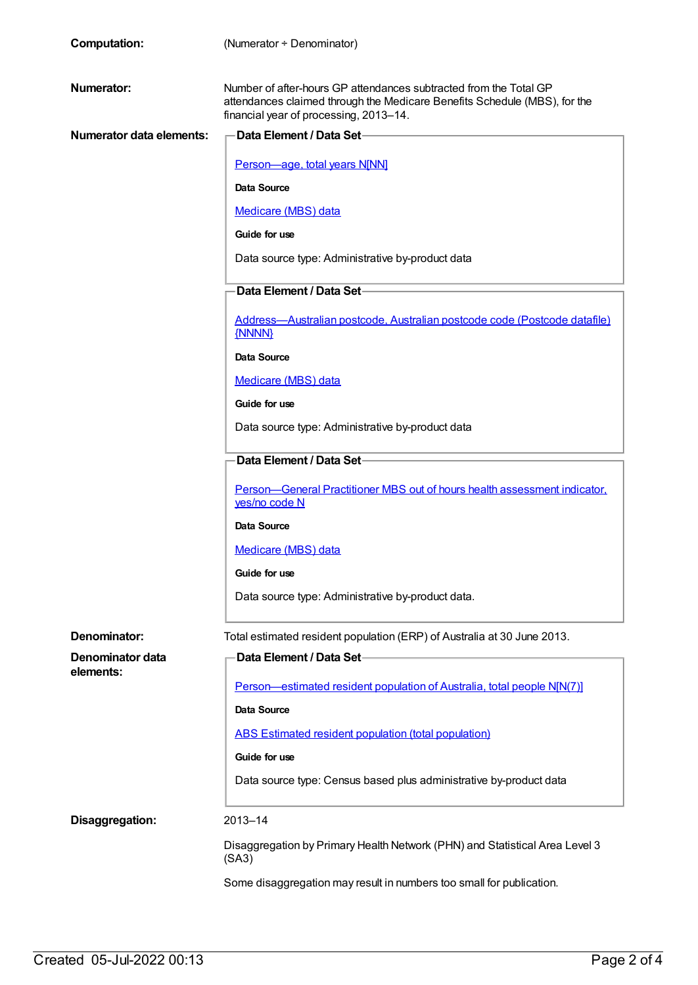| <b>Computation:</b>             | (Numerator + Denominator)                                                                                                                                                                |
|---------------------------------|------------------------------------------------------------------------------------------------------------------------------------------------------------------------------------------|
| Numerator:                      | Number of after-hours GP attendances subtracted from the Total GP<br>attendances claimed through the Medicare Benefits Schedule (MBS), for the<br>financial year of processing, 2013-14. |
| <b>Numerator data elements:</b> | -Data Element / Data Set-                                                                                                                                                                |
|                                 | Person-age, total years N[NN]                                                                                                                                                            |
|                                 | Data Source                                                                                                                                                                              |
|                                 | <b>Medicare (MBS) data</b>                                                                                                                                                               |
|                                 | Guide for use                                                                                                                                                                            |
|                                 | Data source type: Administrative by-product data                                                                                                                                         |
|                                 | Data Element / Data Set-                                                                                                                                                                 |
|                                 | Address-Australian postcode, Australian postcode code (Postcode datafile)<br>{NNNN}                                                                                                      |
|                                 | Data Source                                                                                                                                                                              |
|                                 | <b>Medicare (MBS) data</b>                                                                                                                                                               |
|                                 | Guide for use                                                                                                                                                                            |
|                                 | Data source type: Administrative by-product data                                                                                                                                         |
|                                 | Data Element / Data Set-                                                                                                                                                                 |
|                                 | Person—General Practitioner MBS out of hours health assessment indicator,<br>yes/no code N                                                                                               |
|                                 | Data Source                                                                                                                                                                              |
|                                 | Medicare (MBS) data                                                                                                                                                                      |
|                                 | Guide for use                                                                                                                                                                            |
|                                 | Data source type: Administrative by-product data.                                                                                                                                        |
| Denominator:                    | Total estimated resident population (ERP) of Australia at 30 June 2013.                                                                                                                  |
| Denominator data                | Data Element / Data Set-                                                                                                                                                                 |
| elements:                       | Person—estimated resident population of Australia, total people N[N(7)]                                                                                                                  |
|                                 | Data Source                                                                                                                                                                              |
|                                 | ABS Estimated resident population (total population)                                                                                                                                     |
|                                 | Guide for use                                                                                                                                                                            |
|                                 | Data source type: Census based plus administrative by-product data                                                                                                                       |
| Disaggregation:                 | 2013-14                                                                                                                                                                                  |
|                                 | Disaggregation by Primary Health Network (PHN) and Statistical Area Level 3<br>(SA3)                                                                                                     |
|                                 | Some disaggregation may result in numbers too small for publication.                                                                                                                     |